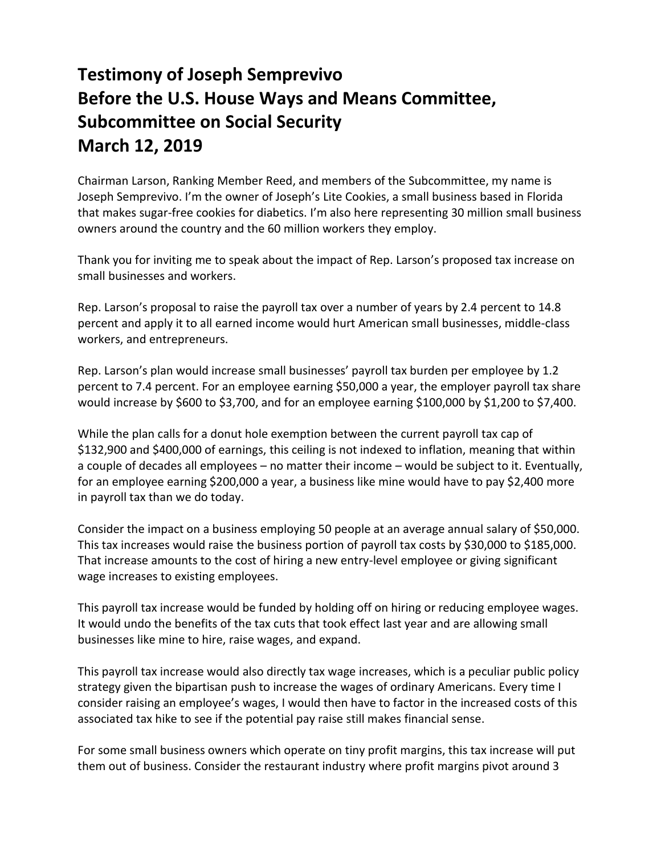## **Testimony of Joseph Semprevivo Before the U.S. House Ways and Means Committee, Subcommittee on Social Security March 12, 2019**

Chairman Larson, Ranking Member Reed, and members of the Subcommittee, my name is Joseph Semprevivo. I'm the owner of Joseph's Lite Cookies, a small business based in Florida that makes sugar-free cookies for diabetics. I'm also here representing 30 million small business owners around the country and the 60 million workers they employ.

Thank you for inviting me to speak about the impact of Rep. Larson's proposed tax increase on small businesses and workers.

Rep. Larson's proposal to raise the payroll tax over a number of years by 2.4 percent to 14.8 percent and apply it to all earned income would hurt American small businesses, middle-class workers, and entrepreneurs.

Rep. Larson's plan would increase small businesses' payroll tax burden per employee by 1.2 percent to 7.4 percent. For an employee earning \$50,000 a year, the employer payroll tax share would increase by \$600 to \$3,700, and for an employee earning \$100,000 by \$1,200 to \$7,400.

While the plan calls for a donut hole exemption between the current payroll tax cap of \$132,900 and \$400,000 of earnings, this ceiling is not indexed to inflation, meaning that within a couple of decades all employees – no matter their income – would be subject to it. Eventually, for an employee earning \$200,000 a year, a business like mine would have to pay \$2,400 more in payroll tax than we do today.

Consider the impact on a business employing 50 people at an average annual salary of \$50,000. This tax increases would raise the business portion of payroll tax costs by \$30,000 to \$185,000. That increase amounts to the cost of hiring a new entry-level employee or giving significant wage increases to existing employees.

This payroll tax increase would be funded by holding off on hiring or reducing employee wages. It would undo the benefits of the tax cuts that took effect last year and are allowing small businesses like mine to hire, raise wages, and expand.

This payroll tax increase would also directly tax wage increases, which is a peculiar public policy strategy given the bipartisan push to increase the wages of ordinary Americans. Every time I consider raising an employee's wages, I would then have to factor in the increased costs of this associated tax hike to see if the potential pay raise still makes financial sense.

For some small business owners which operate on tiny profit margins, this tax increase will put them out of business. Consider the restaurant industry where profit margins pivot around 3